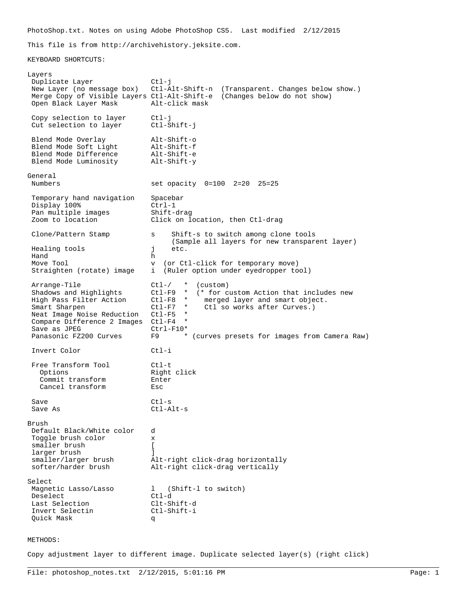PhotoShop.txt. Notes on using Adobe PhotoShop CS5. Last modified 2/12/2015

This file is from http://archivehistory.jeksite.com.

KEYBOARD SHORTCUTS:

Layers Duplicate Layer Ctl-j New Layer (no message box) Ctl-Alt-Shift-n (Transparent. Changes below show.) Merge Copy of Visible Layers Ctl-Alt-Shift-e (Changes below do not show) Open Black Layer Mask Copy selection to layer ctl-j<br>Cut selection to layer ctl-Shift-j Cut selection to layer Blend Mode Overlay Alt-Shift-o<br>Blend Mode Soft Light Alt-Shift-f Blend Mode Soft Light Alt-Shift-f Blend Mode Difference alt-Shift-e<br>Blend Mode Luminosity alt-Shift-y Blend Mode Luminosity General set opacity 0=100 2=20 25=25 Temporary hand navigation Spacebar<br>Display 100% Ctrl-1 Display 100% Ctrl-1<br>
Pan multiple images Shift-drag Pan multiple images<br>Zoom to location Click on location, then Ctl-drag Clone/Pattern Stamp s Shift-s to switch among clone tools (Sample all layers for new transparent layer) Healing tools **j** etc. Hand h Move Tool v (or Ctl-click for temporary move)<br>Straighten (rotate) image i (Ruler option under eyedropper to i (Ruler option under eyedropper tool) Arrange-Tile Ctl-/ \* (custom)<br>Shadows and Highlights Ctl-F9 \* (\* for c Shadows and Highlights Ctl-F9 \* (\* for custom Action that includes new<br>High Pass Filter Action Ctl-F8 \* merged layer and smart object. \* merged layer and smart object.<br>\* Ctl-so-works after Curves.) Smart Sharpen  $CL1-F7$  \* Ctl so works after Curves.)<br>Neat Image Noise Reduction Ctl-F5 \* Neat Image Noise Reduction Compare Difference 2 Images Ctl-F4 \*<br>Save as JPEG ctrl-F10\* Save as JPEG<br>Panasonic FZ200 Curves F9 \* (curves presets for images from Camera Raw) Invert Color Ctl-i Free Transform Tool 60 Ctl-t<br>Options Right Right click<br>Enter Commit transform Cancel transform Esc Save Ctl-s Save As Ctl-Alt-s Brush Default Black/White color d Toggle brush color x smaller brush [ larger brush [1]<br>smaller/larger brush [1] A smaller/larger brush alt-right click-drag horizontally<br>softer/harder brush alt-right click-drag vertically Alt-right click-drag vertically Select<br>Magnetic Lasso/Lasso 1 (Shift-1 to switch) Deselect Ctl-d Last Selection Clt-Shift-d Invert Selectin Quick Mask q

## METHODS:

Copy adjustment layer to different image. Duplicate selected layer(s) (right click)